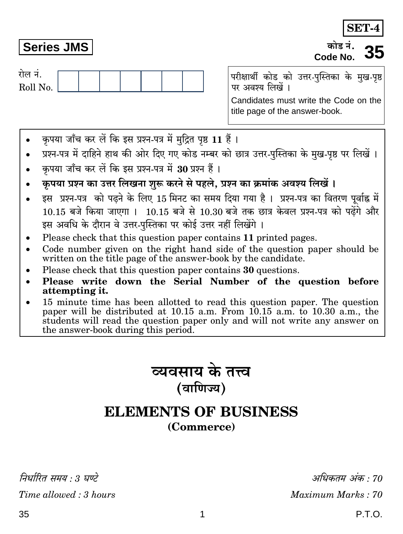निर्धारित समय : 3 घण्टे  $Time allowed: 3 hours$ 

अधिकतम अंक : 70 Maximum Marks: 70

P.T.O.

SET.

परीक्षार्थी कोड को उत्तर-पुस्तिका के मुख-पृष्ठ पर अवश्य लिखें ।

Candidates must write the Code on the title page of the answer-book.

- कृपया जाँच कर लें कि इस प्रश्न-पत्र में मुद्रित पृष्ठ 11 हैं।  $\bullet$
- प्रश्न-पत्र में दाहिने हाथ की ओर दिए गए कोड नम्बर को छात्र उत्तर-पुस्तिका के मुख-पृष्ठ पर लिखें ।  $\bullet$
- कपया जाँच कर लें कि इस प्रश्न-पत्र में 30 प्रश्न हैं।

**Series JMS** 

रोल नं.

Roll No.

- कपया प्रश्न का उत्तर लिखना शुरू करने से पहले. प्रश्न का क्रमांक अवश्य लिखें।
- इस प्रश्न-पत्र को पढने के लिए 15 मिनट का समय दिया गया है। प्रश्न-पत्र का वितरण पूर्वाह्न में 10.15 बजे किया जाएगा । 10.15 बजे से 10.30 बजे तक छात्र केवल प्रश्न-पत्र को पढेंगे और इस अवधि के दौरान वे उत्तर-पस्तिका पर कोई उत्तर नहीं लिखेंगे ।
- Please check that this question paper contains 11 printed pages.
- Code number given on the right hand side of the question paper should be  $\bullet$ written on the title page of the answer-book by the candidate.
- Please check that this question paper contains 30 questions.
- Please write down the Serial Number of the question before  $\bullet$ attempting it.
- 15 minute time has been allotted to read this question paper. The question  $\bullet$ paper will be distributed at 10.15 a.m. From 10.15 a.m. to 10.30 a.m., the students will read the question paper only and will not write any answer on the answer-book during this period.



# **ELEMENTS OF BUSINESS** (Commerce)

1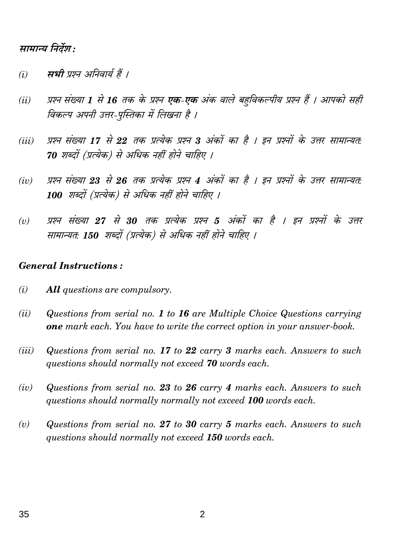# सामान्य निर्देश :

- सभी प्रश्न अनिवार्य हैं ।  $(i)$
- प्रश्न संख्या 1 से 16 तक के प्रश्न **एक-एक** अंक वाले बहविकल्पीय प्रश्न हैं । आपको सही  $(ii)$ विकल्प अपनी उत्तर-पुस्तिका में लिखना है ।
- प्रश्न संख्या 17 से 22 तक प्रत्येक प्रश्न 3 अंकों का है । इन प्रश्नों के उत्तर सामान्यत:  $(iii)$ 70 शब्दों (प्रत्येक) से अधिक नहीं होने चाहिए ।
- प्रश्न संख्या 23 से 26 तक प्रत्येक प्रश्न 4 अंकों का है । इन प्रश्नों के उत्तर सामान्यत:  $(iv)$ 100 शब्दों (प्रत्येक) से अधिक नहीं होने चाहिए ।
- प्रश्न संख्या 27 से 30 तक प्रत्येक प्रश्न 5 अंकों का है । इन प्रश्नों के उत्तर  $(v)$ सामान्यतः 150 शब्दों (प्रत्येक) से अधिक नहीं होने चाहिए ।

#### **General Instructions:**

- $(i)$ **All** questions are compulsory.
- Questions from serial no. 1 to 16 are Multiple Choice Questions carrying  $(ii)$ **one** mark each. You have to write the correct option in your answer-book.
- Questions from serial no. 17 to 22 carry 3 marks each. Answers to such (*iii*) questions should normally not exceed 70 words each.
- Questions from serial no. 23 to 26 carry 4 marks each. Answers to such  $(iv)$ questions should normally normally not exceed 100 words each.
- $(v)$ Questions from serial no. 27 to 30 carry 5 marks each. Answers to such questions should normally not exceed 150 words each.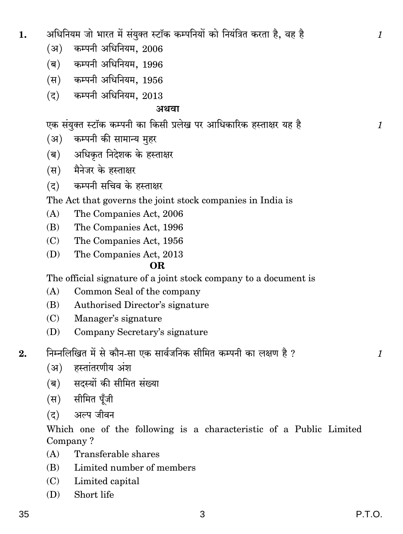अधिनियम जो भारत में संयुक्त स्टॉक कम्पनियों को नियंत्रित करता है, वह है 1. कम्पनी अधिनियम, 2006  $(3)$ (ब) कम्पनी अधिनियम, 1996 (स) कम्पनी अधिनियम, 1956  $(7)$  कम्पनी अधिनियम, 2013

# अथवा

एक संयुक्त स्टॉक कम्पनी का किसी प्रलेख पर आधिकारिक हस्ताक्षर यह है

- कम्पनी की सामान्य मुहर  $(3)$
- (ब) अधिकृत निदेशक के हस्ताक्षर
- (स) मैनेजर के हस्ताक्षर
- (द) कम्पनी सचिव के हस्ताक्षर

# The Act that governs the joint stock companies in India is

- $(A)$ The Companies Act, 2006
- $(B)$ The Companies Act, 1996
- The Companies Act, 1956  $(C)$
- The Companies Act, 2013 (D)

# OR.

The official signature of a joint stock company to a document is

- $(A)$ Common Seal of the company
- Authorised Director's signature (B)
- $(C)$ Manager's signature
- $(D)$ Company Secretary's signature
- निम्नलिखित में से कौन-सा एक सार्वजनिक सीमित कम्पनी का लक्षण है ?  $2.$ 
	- (अ) हस्तांतरणीय अंश
	- (ब) सदस्यों की सीमित संख्या
	- (स) सीमित पुँजी
	- अल्प जीवन  $(5)$

Which one of the following is a characteristic of a Public Limited Company?

- Transferable shares  $(A)$
- $(B)$ Limited number of members
- (C) Limited capital
- Short life  $(D)$

 $\mathcal{I}$ 

 $\mathcal{I}$ 

 $\mathbf{1}$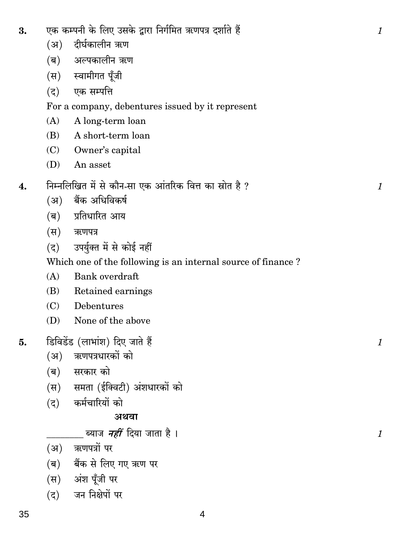| (5)                       | एक सम्पत्ति                                      |
|---------------------------|--------------------------------------------------|
|                           | For a company, debentures issued by it rep       |
| (A)                       | A long-term loan                                 |
| (B)                       | A short-term loan                                |
|                           | (C) Owner's capital                              |
|                           | (D) An asset                                     |
|                           | निम्नलिखित में से कौन-सा एक आंतरिक वित्त का स्रो |
|                           | (अ) बैंक अधिविकर्ष                               |
|                           | (ब) प्रतिधारित आय                                |
|                           | (स) ऋणपत्र                                       |
|                           | (द) उपर्युक्त में से कोई नहीं                    |
|                           | Which one of the following is an internal so     |
| (A)                       | Bank overdraft                                   |
|                           | (B) Retained earnings                            |
| (C)                       | Debentures                                       |
| (D)                       | None of the above                                |
|                           | डिविडेंड (लाभांश) दिए जाते हैं                   |
|                           | (अ) ऋणपत्रधारकों को                              |
|                           | (ब) सरकार को                                     |
|                           | (स) समता (ईक्विटी) अंशधारकों को                  |
|                           | (द) कर्मचारियों को                               |
|                           | अथवा                                             |
|                           | ब्याज <i>नहीं</i> दिया जाता है ।                 |
|                           | (अ) ऋणपत्रों पर                                  |
| $(\overline{\mathsf{q}})$ | बैंक से लिए गए ऋण पर                             |
|                           | (स) अंश पूँजी पर                                 |
| (द)                       | जन निक्षेपों पर                                  |
|                           |                                                  |

#### एक कम्पनी के लिए उसके द्वारा निर्गमित ऋणपत्र दर्शाते हैं 3.

- (अ) दीर्घकालीन ऋण
- (ब) अल्पकालीन ऋण
- (स) स्वामीगत पूँजी

present

त है ?  $\overline{4}$ .

# ource of finance?

# 5.

 $\boldsymbol{1}$ 

 $\boldsymbol{1}$ 

 $\mathcal{I}$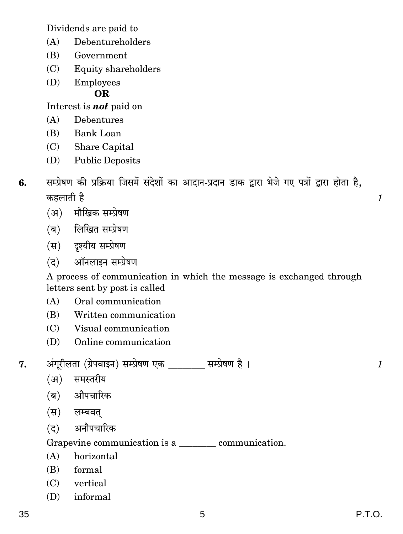Dividends are paid to

- $(A)$ Debentureholders
- Government  $(B)$
- (C) Equity shareholders
- Employees  $(D)$

OR.

Interest is **not** paid on

- Debentures  $(A)$
- $(B)$  Bank Loan
- (C) Share Capital
- **Public Deposits**  $(D)$
- सम्प्रेषण की प्रक्रिया जिसमें संदेशों का आदान-प्रदान डाक द्वारा भेजे गए पत्रों द्वारा होता है. 6. कहलाती है
	- (अ) मौखिक सम्प्रेषण
	- (ब) लिखित सम्प्रेषण
	- (स) दृश्यीय सम्प्रेषण
	- (द) ऑनलाइन सम्प्रेषण

A process of communication in which the message is exchanged through letters sent by post is called

- $(A)$ Oral communication
- $(B)$ Written communication
- (C) Visual communication
- $(D)$ Online communication
- अंगूरीलता (ग्रेपवाइन) सम्प्रेषण एक \_\_\_\_\_\_\_ सम्प्रेषण है। 7.
	- (अ) समस्तरीय
	- (ब) औपचारिक
	- (स) लम्बवत
	- $(5)$ अनौपचारिक

Grapevine communication is a communication.

- $(A)$ horizontal
- (B) formal
- $(C)$  vertical
- $(D)$  informal

 $\mathcal{I}_{\mathcal{L}}$ 

 $\mathcal{I}_{\mathcal{L}}$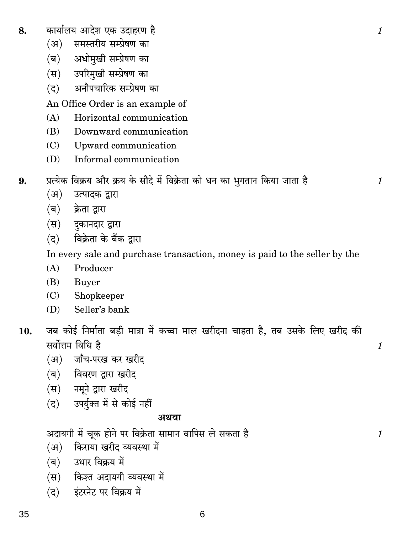- कार्यालय आदेश एक उदाहरण है 8.
	- समस्तरीय सम्प्रेषण का  $(3)$
	- अधोमुखी सम्प्रेषण का (ब)
	- उपरिमुखी सम्प्रेषण का (स)
	- अनौपचारिक सम्प्रेषण का  $(5)$

An Office Order is an example of

- $(A)$ Horizontal communication
- $(B)$ Downward communication
- Upward communication  $(C)$
- (D) Informal communication
- प्रत्येक विक्रय और क्रय के सौदे में विक्रेता को धन का भगतान किया जाता है 9.
	- $(3)$ उत्पादक द्वारा
	- $(\overline{\mathbf{p}})$ क्रेता द्वारा
	- (स) दकानदार द्वारा
	- विक्रेता के बैंक द्वारा  $(5)$

In every sale and purchase transaction, money is paid to the seller by the

- $(A)$ Producer
- (B) **Buyer**
- Shopkeeper  $(C)$
- $(D)$ Seller's bank
- जब कोई निर्माता बड़ी मात्रा में कच्चा माल खरीदना चाहता है, तब उसके लिए खरीद की 10. सर्वोत्तम विधि है
	- (अ) जाँच-परख कर खरीद
	- (ब) विवरण द्वारा खरीद
	- (स) नमूने द्वारा खरीद
	- (द) उपर्युक्त में से कोई नहीं

### अथवा

अदायगी में चूक होने पर विक्रेता सामान वापिस ले सकता है

- (अ) किराया खरीद व्यवस्था में
- उधार विक्रय में (ब)
- (स) किश्त अदायगी व्यवस्था में
- इंटरनेट पर विक्रय में  $(5)$

6

1

 $\mathcal{I}_{\mathcal{L}}$ 

 $\boldsymbol{\mathit{1}}$ 

 $\mathbf{1}$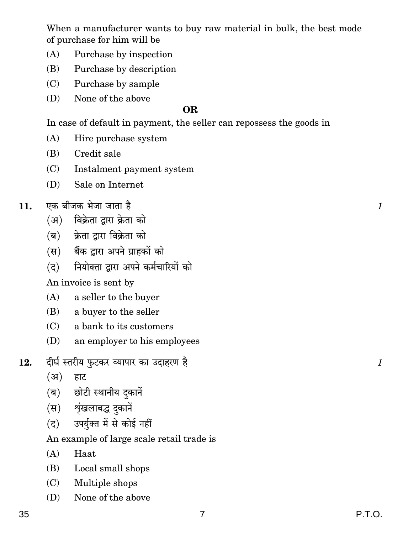When a manufacturer wants to buy raw material in bulk, the best mode of purchase for him will be

- $(A)$ Purchase by inspection
- $(B)$ Purchase by description
- Purchase by sample  $(C)$
- $(D)$ None of the above

# OR.

In case of default in payment, the seller can repossess the goods in

- $(A)$ Hire purchase system
- $(B)$ Credit sale
- $(C)$ Instalment payment system
- $(D)$ Sale on Internet
- एक बीजक भेजा जाता है 11.
	- (अ) विक्रेता द्वारा क्रेता को
	- (ब) क्रेता द्वारा विक्रेता को
	- (स) बैंक द्वारा अपने ग्राहकों को
	- नियोक्ता द्वारा अपने कर्मचारियों को  $(5)$

An invoice is sent by

- $(A)$ a seller to the buyer
- a buyer to the seller (B)
- $(C)$ a bank to its customers
- $(D)$ an employer to his employees
- दीर्घ स्तरीय फुटकर व्यापार का उदाहरण है 12.
	- $(3)$ हाट
	- छोटी स्थानीय दुकानें (ब)
	- (स) शृंखलाबद्ध दकानें
	- उपर्युक्त में से कोई नहीं  $(5)$

An example of large scale retail trade is

- $(A)$ Haat
- Local small shops (B)
- Multiple shops  $(C)$
- $(D)$ None of the above

 $\mathcal{I}_{\mathcal{L}}$ 

 $\mathcal{I}_{\mathcal{L}}$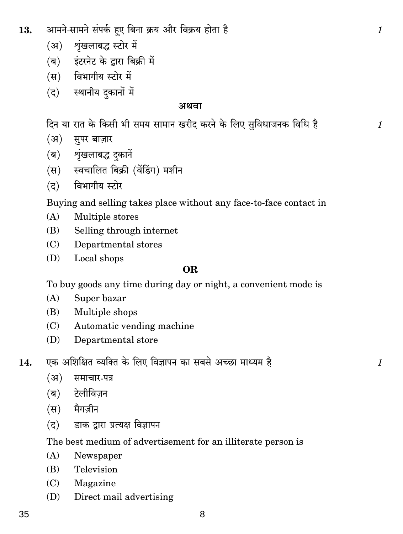- **13.** Am'Zo-gm'Zo g§nH©\$ hþE {~Zm H«\$¶ Am¡a {dH«\$¶ hmoVm h¡ *1*
	- (अ) शृंखलाबद्ध स्टोर में
	- (ब) इंटरनेट के द्वारा बिक्री में
	- (स) विभागीय स्टोर में
	- (द) स्थानीय दकानों में

## **AWdm**

दिन या रात के किसी भी समय सामान खरीद करने के लिए सुविधाजनक विधि है $\qquad \qquad \qquad 1$ 

- (अ) सुपर बाज़ार
- (ब) शृंखलाबद्ध दकानें
- (स) स्वचालित बिक्री (वेंडिंग) मशीन
- $($ द) विभागीय स्टोर

Buying and selling takes place without any face-to-face contact in

- (A) Multiple stores
- (B) Selling through internet
- (C) Departmental stores
- (D) Local shops

# **OR**

To buy goods any time during day or night, a convenient mode is

- (A) Super bazar
- (B) Multiple shops
- (C) Automatic vending machine
- (D) Departmental store
- **14.** EH\$ A{e{jV ì¶{³V Ho\$ {bE {dkmnZ H\$m g~go AÀN>m 'mܶ' h¡ *1*
	- (अ) समाचार-पत्र
	- (ब) टेलीविजन
	- (स) मैगज़ीन
	- (द) डाक द्वारा प्रत्यक्ष विज्ञापन

# The best medium of advertisement for an illiterate person is

- (A) Newspaper
- (B) Television
- (C) Magazine
- (D) Direct mail advertising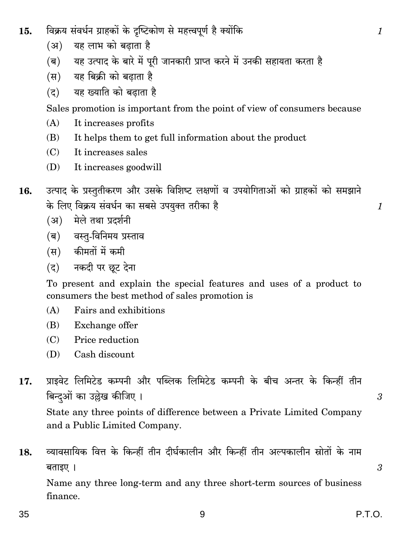- विक्रय संवर्धन ग्राहकों के दुष्टिकोण से महत्त्वपूर्ण है क्योंकि 15.
	- यह लाभ को बढाता है  $(3)$
	- यह उत्पाद के बारे में पूरी जानकारी प्राप्त करने में उनकी सहायता करता है  $(\overline{\mathbf{p}})$
	- $(\overline{\mathbf{H}})$ यह बिक्री को बढाता है
	- यह ख्याति को बढाता है  $(5)$

Sales promotion is important from the point of view of consumers because

- It increases profits  $(A)$
- It helps them to get full information about the product (B)
- It increases sales  $(C)$
- (D) It increases goodwill
- उत्पाद के प्रस्तुतीकरण और उसके विशिष्ट लक्षणों व उपयोगिताओं को ग्राहकों को समझाने 16. के लिए विक्रय संवर्धन का सबसे उपयुक्त तरीका है
	- (अ) मेले तथा प्रदर्शनी
	- (ब) वस्तु-विनिमय प्रस्ताव
	- (स) कीमतों में कमी
	- (द) नकदी पर छूट देना

To present and explain the special features and uses of a product to consumers the best method of sales promotion is

- $(A)$ Fairs and exhibitions
- Exchange offer (B)
- $(C)$ Price reduction
- Cash discount  $(D)$

प्राइवेट लिमिटेड कम्पनी और पब्लिक लिमिटेड कम्पनी के बीच अन्तर के किन्हीं तीन 17. बिन्दओं का उल्लेख कीजिए ।

State any three points of difference between a Private Limited Company and a Public Limited Company.

व्यावसायिक वित्त के किन्हीं तीन दीर्घकालीन और किन्हीं तीन अल्पकालीन स्रोतों के नाम 18. बताइए ।

Name any three long-term and any three short-term sources of business finance.

 $\mathfrak{Z}$ 

3

 $\mathcal{I}_{\mathcal{L}}$ 

 $\mathcal{I}_{\mathcal{L}}$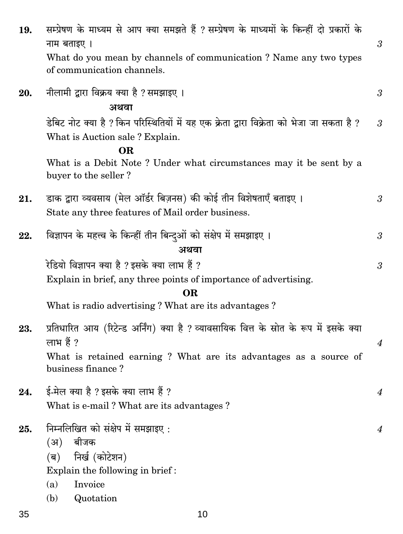| 19. | सम्प्रेषण के माध्यम से आप क्या समझते हैं ? सम्प्रेषण के माध्यमों के किन्हीं दो प्रकारों के<br>नाम बताइए।<br>What do you mean by channels of communication? Name any two types<br>of communication channels. | $\mathfrak{Z}$       |
|-----|-------------------------------------------------------------------------------------------------------------------------------------------------------------------------------------------------------------|----------------------|
| 20. | नीलामी द्वारा विक्रय क्या है ? समझाइए ।<br>अथवा                                                                                                                                                             | $\mathfrak{z}$       |
|     | डेबिट नोट क्या है ? किन परिस्थितियों में यह एक क्रेता द्वारा विक्रेता को भेजा जा सकता है ?<br>What is Auction sale? Explain.                                                                                | $\mathfrak{3}$       |
|     | <b>OR</b><br>What is a Debit Note? Under what circumstances may it be sent by a<br>buyer to the seller?                                                                                                     |                      |
| 21. | डाक द्वारा व्यवसाय (मेल ऑर्डर बिज़नस) की कोई तीन विशेषताएँ बताइए ।<br>State any three features of Mail order business.                                                                                      | 3                    |
| 22. | विज्ञापन के महत्त्व के किन्हीं तीन बिन्दुओं को संक्षेप में समझाइए ।<br>अथवा                                                                                                                                 | 3                    |
|     | रेडियो विज्ञापन क्या है ? इसके क्या लाभ हैं ?<br>Explain in brief, any three points of importance of advertising.<br><b>OR</b>                                                                              | $\boldsymbol{\beta}$ |
|     | What is radio advertising? What are its advantages?                                                                                                                                                         |                      |
| 23. | प्रतिधारित आय (रिटेन्ड अर्निंग) क्या है ? व्यावसायिक वित्त के स्रोत के रूप में इसके क्या<br>लाभ हैं ?<br>What is retained earning? What are its advantages as a source of<br>business finance?              |                      |
| 24. | ई-मेल क्या है ? इसके क्या लाभ हैं ?<br>What is e-mail? What are its advantages?                                                                                                                             |                      |
| 25. | निम्नलिखित को संक्षेप में समझाइए:<br>बीजक<br>(3)<br>निर्ख (कोटेशन)<br>$(\overline{q})$<br>Explain the following in brief:<br>Invoice<br>(a)<br>(b)<br>Quotation                                             | 4                    |